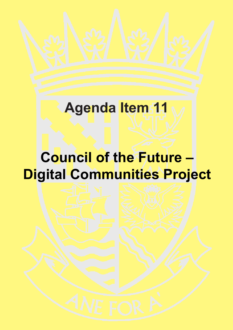# **Agenda Item 11**

# **Council of the Future – Digital Communities Project**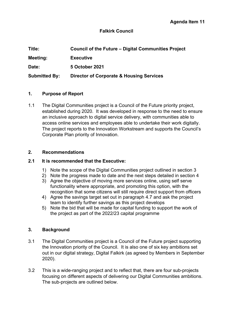# **Falkirk Council**

| Title:               | <b>Council of the Future – Digital Communities Project</b> |  |
|----------------------|------------------------------------------------------------|--|
| Meeting:             | <b>Executive</b>                                           |  |
| Date:                | 5 October 2021                                             |  |
| <b>Submitted By:</b> | <b>Director of Corporate &amp; Housing Services</b>        |  |

## **1. Purpose of Report**

1.1 The Digital Communities project is a Council of the Future priority project, established during 2020. It was developed in response to the need to ensure an inclusive approach to digital service delivery, with communities able to access online services and employees able to undertake their work digitally. The project reports to the Innovation Workstream and supports the Council's Corporate Plan priority of Innovation.

#### **2. Recommendations**

#### **2.1 It is recommended that the Executive:**

- 1) Note the scope of the Digital Communities project outlined in section 3
- 2) Note the progress made to date and the next steps detailed in section 4
- 3) Agree the objective of moving more services online, using self serve functionality where appropriate, and promoting this option, with the recognition that some citizens will still require direct support from officers
- 4) Agree the savings target set out in paragraph 4.7 and ask the project team to identify further savings as this project develops
- 5) Note the bid that will be made for capital funding to support the work of the project as part of the 2022/23 capital programme

#### **3. Background**

- 3.1 The Digital Communities project is a Council of the Future project supporting the Innovation priority of the Council. It is also one of six key ambitions set out in our digital strategy, Digital Falkirk (as agreed by Members in September 2020).
- 3.2 This is a wide-ranging project and to reflect that, there are four sub-projects focusing on different aspects of delivering our Digital Communities ambitions. The sub-projects are outlined below.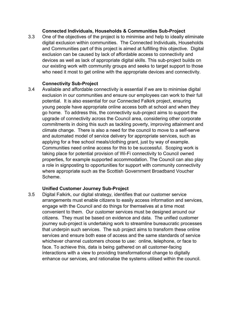## **Connected Individuals, Households & Communities Sub-Project**

3.3 One of the objectives of the project is to minimise and help to ideally eliminate digital exclusion within communities. The Connected Individuals, Households and Communities part of this project is aimed at fulfilling this objective. Digital exclusion can be caused by lack of affordable access to connectivity and devices as well as lack of appropriate digital skills. This sub-project builds on our existing work with community groups and seeks to target support to those who need it most to get online with the appropriate devices and connectivity.

## **Connectivity Sub-Project**

3.4 Available and affordable connectivity is essential if we are to minimise digital exclusion in our communities and ensure our employees can work to their full potential. It is also essential for our Connected Falkirk project, ensuring young people have appropriate online access both at school and when they go home. To address this, the connectivity sub-project aims to support the upgrade of connectivity across the Council area, considering other corporate commitments in doing this such as tackling poverty, improving attainment and climate change. There is also a need for the council to move to a self-serve and automated model of service delivery for appropriate services, such as applying for a free school meals/clothing grant, just by way of example. Communities need online access for this to be successful. Scoping work is taking place for potential provision of Wi-Fi connectivity to Council owned properties, for example supported accommodation. The Council can also play a role in signposting to opportunities for support with community connectivity where appropriate such as the Scottish Government Broadband Voucher Scheme.

# **Unified Customer Journey Sub-Project**

3.5 Digital Falkirk, our digital strategy, identifies that our customer service arrangements must enable citizens to easily access information and services, engage with the Council and do things for themselves at a time most convenient to them. Our customer services must be designed around our citizens. They must be based on evidence and data. The unified customer journey sub-project is undertaking work to streamline bureaucratic processes that underpin such services. The sub project aims to transform these online services and ensure both ease of access and the same standards of service whichever channel customers choose to use: online, telephone, or face to face. To achieve this, data is being gathered on all customer-facing interactions with a view to providing transformational change to digitally enhance our services, and rationalise the systems utilised within the council.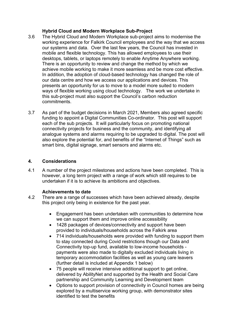# **Hybrid Cloud and Modern Workplace Sub-Project**

- 3.6 The Hybrid Cloud and Modern Workplace sub-project aims to modernise the working experience for Falkirk Council employees and the way that we access our systems and data. Over the last few years, the Council has invested in mobile and flexible technology. This has allowed employees to use their desktops, tablets, or laptops remotely to enable Anytime Anywhere working. There is an opportunity to review and change the method by which we achieve mobile working to make it more seamless and be more cost effective. In addition, the adoption of cloud-based technology has changed the role of our data centre and how we access our applications and devices. This presents an opportunity for us to move to a model more suited to modern ways of flexible working using cloud technology. The work we undertake in this sub-project must also support the Council's carbon reduction commitments.
- 3.7 As part of the budget decisions in March 2021, Members also agreed specific funding to appoint a Digital Communities Co-ordinator. This post will support each of the sub projects. It will particularly focus on promoting national connectivity projects for business and the community, and identifying all analogue systems and alarms requiring to be upgraded to digital. The post will also explore the potential for, and benefits of the "Internet of Things" such as smart bins, digital signage, smart sensors and alarms etc.

# **4. Considerations**

4.1 A number of the project milestones and actions have been completed. This is however, a long term project with a range of work which still requires to be undertaken if it is to achieve its ambitions and objectives.

# **Achievements to date**

- 4.2 There are a range of successes which have been achieved already, despite this project only being in existence for the past year.
	- Engagement has been undertaken with communities to determine how we can support them and improve online accessibility
	- 1428 packages of devices/connectivity and support have been provided to individuals/households across the Falkirk area
	- 714 individuals/households were provided with funding to support them to stay connected during Covid restrictions though our Data and Connectivity top-up fund, available to low-income households payments were also made to digitally excluded individuals living in temporary accommodation facilities as well as young care leavers (further detail is included at Appendix 1 below)
	- 75 people will receive intensive additional support to get online, delivered by AbilityNet and supported by the Health and Social Care partnership and Community Learning and Development team
	- Options to support provision of connectivity in Council homes are being explored by a multiservice working group, with demonstrator sites identified to test the benefits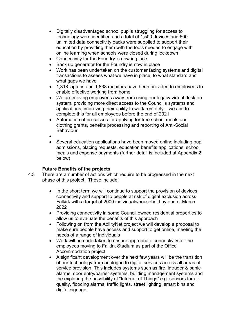- Digitally disadvantaged school pupils struggling for access to technology were identified and a total of 1,500 devices and 600 unlimited data connectivity packs were supplied to support their education by providing them with the tools needed to engage with online learning when schools were closed during lockdown
- Connectivity for the Foundry is now in place
- Back up generator for the Foundry is now in place
- Work has been undertaken on the customer facing systems and digital transactions to assess what we have in place, to what standard and what gaps we have
- 1,318 laptops and 1,838 monitors have been provided to employees to enable effective working from home
- We are moving employees away from using our legacy virtual desktop system, providing more direct access to the Council's systems and applications, improving their ability to work remotely – we aim to complete this for all employees before the end of 2021
- Automation of processes for applying for free school meals and clothing grants, benefits processing and reporting of Anti-Social **Behaviour**
- •
- Several education applications have been moved online including pupil admissions, placing requests, education benefits applications, school meals and expense payments (further detail is included at Appendix 2 below)

# **Future Benefits of the projects**

- 4.3 There are a number of actions which require to be progressed in the next phase of this project. These include:
	- In the short term we will continue to support the provision of devices, connectivity and support to people at risk of digital exclusion across Falkirk with a target of 2000 individuals/household by end of March 2022
	- Providing connectivity in some Council owned residential properties to allow us to evaluate the benefits of this approach
	- Following on from the AbilityNet project we will develop a proposal to make sure people have access and support to get online, meeting the needs of a range of individuals
	- Work will be undertaken to ensure appropriate connectivity for the employees moving to Falkirk Stadium as part of the Office Accommodation project
	- A significant development over the next few years will be the transition of our technology from analogue to digital services across all areas of service provision. This includes systems such as fire, intruder & panic alarms, door entry/barrier systems, building management systems and the exploring the possibility of "Internet of Things" e.g. sensors for air quality, flooding alarms, traffic lights, street lighting, smart bins and digital signage.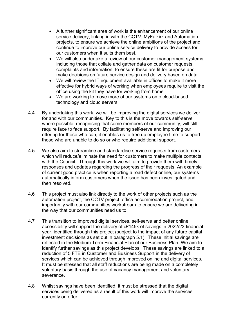- A further significant area of work is the enhancement of our online service delivery, linking in with the CCTV, MyFalkirk and Automation projects, to ensure we achieve the online ambitions of the project and continue to improve our online service delivery to provide access for our customers when it suits them best.
- We will also undertake a review of our customer management systems, including those that collate and gather data on customer requests, complaints and information, to ensure these are fit for purpose and make decisions on future service design and delivery based on data
- We will review the IT equipment available in offices to make it more effective for hybrid ways of working when employees require to visit the office using the kit they have for working from home
- We are working to move more of our systems onto cloud-based technology and cloud servers
- 4.4 By undertaking this work, we will be improving the digital services we deliver for and with our communities. Key to this is the move towards self-serve where possible, recognising that some members of our community, will still require face to face support. By facilitating self-serve and improving our offering for those who can, it enables us to free up employee time to support those who are unable to do so or who require additional support.
- 4.5 We also aim to streamline and standardise service requests from customers which will reduce/eliminate the need for customers to make multiple contacts with the Council. Through this work we will aim to provide them with timely responses and updates regarding the progress of their requests. An example of current good practice is when reporting a road defect online, our systems automatically inform customers when the issue has been investigated and then resolved.
- 4.6 This project must also link directly to the work of other projects such as the automation project, the CCTV project, office accommodation project, and importantly with our communities workstream to ensure we are delivering in the way that our communities need us to.
- 4.7 This transition to improved digital services, self-serve and better online accessibility will support the delivery of c£145k of savings in 2022/23 financial year, identified through this project (subject to the impact of any future capital investment decisions as set out in paragraph 5.1). These initial savings are reflected in the Medium Term Financial Plan of our Business Plan. We aim to identify further savings as this project develops. These savings are linked to a reduction of 5 FTE in Customer and Business Support in the delivery of services which can be achieved through improved online and digital services. It must be stressed that all staff reductions are being made on a completely voluntary basis through the use of vacancy management and voluntary severance.
- 4.8 Whilst savings have been identified, it must be stressed that the digital services being delivered as a result of this work will improve the services currently on offer.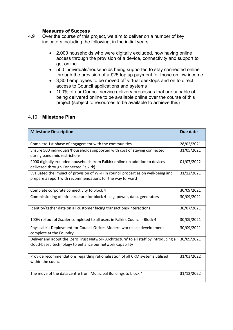#### **Measures of Success**

- 4.9 Over the course of this project, we aim to deliver on a number of key indicators including the following, in the initial years:
	- 2,000 households who were digitally excluded, now having online access through the provision of a device, connectivity and support to get online
	- 500 individuals/households being supported to stay connected online through the provision of a £25 top up payment for those on low income
	- 3,300 employees to be moved off virtual desktops and on to direct access to Council applications and systems
	- 100% of our Council service delivery processes that are capable of being delivered online to be available online over the course of this project (subject to resources to be available to achieve this)

| <b>Milestone Description</b>                                                                                                                      | Due date   |
|---------------------------------------------------------------------------------------------------------------------------------------------------|------------|
| Complete 1st phase of engagement with the communities                                                                                             | 28/02/2021 |
| Ensure 500 individuals/households supported with cost of staying connected<br>during pandemic restrictions                                        | 31/05/2021 |
| 2000 digitally excluded households from Falkirk online (In addition to devices<br>delivered through Connected Falkirk)                            | 01/07/2022 |
| Evaluated the impact of provision of Wi-Fi in council properties on well-being and<br>prepare a report with recommendations for the way forward   | 31/12/2021 |
| Complete corporate connectivity to block 4                                                                                                        | 30/09/2021 |
| Commissioning of infrastructure for block 4 - e.g. power, data, generators                                                                        | 30/09/2021 |
| Identity/gather data on all customer facing transactions/interactions                                                                             | 30/07/2021 |
| 100% rollout of Zscaler completed to all users in Falkirk Council - Block 4                                                                       | 30/09/2021 |
| Physical Kit Deployment for Council Offices Modern workplace development<br>complete at the Foundry.                                              | 30/09/2021 |
| Deliver and adopt the 'Zero Trust Network Architecture' to all staff by introducing a<br>cloud-based technology to enhance our network capability | 30/09/2021 |
| Provide recommendations regarding rationalisation of all CRM systems utilised<br>within the council                                               | 31/03/2022 |
| The move of the data centre from Municipal Buildings to block 4                                                                                   | 31/12/2022 |

#### 4.10 **Milestone Plan**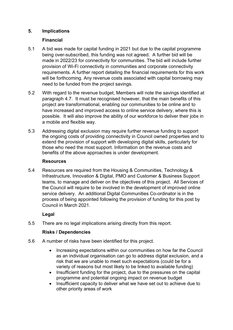# **5. Implications**

# **Financial**

- 5.1 A bid was made for capital funding in 2021 but due to the capital programme being over-subscribed, this funding was not agreed. A further bid will be made in 2022/23 for connectivity for communities. The bid will include further provision of Wi-Fi connectivity in communities and corporate connectivity requirements. A further report detailing the financial requirements for this work will be forthcoming. Any revenue costs associated with capital borrowing may need to be funded from the project savings.
- 5.2 With regard to the revenue budget, Members will note the savings identified at paragraph 4.7. It must be recognised however, that the main benefits of this project are transformational, enabling our communities to be online and to have increased and improved access to online service delivery, where this is possible. It will also improve the ability of our workforce to deliver their jobs in a mobile and flexible way.
- 5.3 Addressing digital exclusion may require further revenue funding to support the ongoing costs of providing connectivity in Council owned properties and to extend the provision of support with developing digital skills, particularly for those who need the most support. Information on the revenue costs and benefits of the above approaches is under development.

# **Resources**

5.4 Resources are required from the Housing & Communities, Technology & Infrastructure, Innovation & Digital, PMO and Customer & Business Support teams, to manage and deliver on the objectives of this project. All Services of the Council will require to be involved in the development of improved online service delivery. An additional Digital Communities Co-ordinator is in the process of being appointed following the provision of funding for this post by Council in March 2021.

# **Legal**

5.5 There are no legal implications arising directly from this report.

# **Risks / Dependencies**

- 5.6 A number of risks have been identified for this project.
	- Increasing expectations within our communities on how far the Council as an individual organisation can go to address digital exclusion, and a risk that we are unable to meet such expectations (could be for a variety of reasons but most likely to be linked to available funding)
	- Insufficient funding for the project, due to the pressures on the capital programme and potential ongoing impact on revenue budget
	- Insufficient capacity to deliver what we have set out to achieve due to other priority areas of work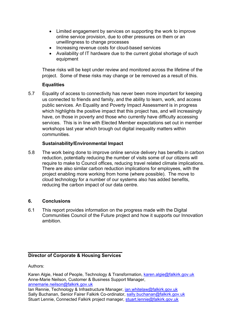- Limited engagement by services on supporting the work to improve online service provision, due to other pressures on them or an unwillingness to change processes
- Increasing revenue costs for cloud-based services
- Availability of IT hardware due to the current global shortage of such equipment

These risks will be kept under review and monitored across the lifetime of the project. Some of these risks may change or be removed as a result of this.

# **Equalities**

5.7 Equality of access to connectivity has never been more important for keeping us connected to friends and family, and the ability to learn, work, and access public services. An Equality and Poverty Impact Assessment is in progress which highlights the positive impact that this project has, and will increasingly have, on those in poverty and those who currently have difficulty accessing services. This is in line with Elected Member expectations set out in member workshops last year which brough out digital inequality matters within communities.

# **Sustainability/Environmental Impact**

5.8 The work being done to improve online service delivery has benefits in carbon reduction, potentially reducing the number of visits some of our citizens will require to make to Council offices, reducing travel related climate implications. There are also similar carbon reduction implications for employees, with the project enabling more working from home (where possible). The move to cloud technology for a number of our systems also has added benefits, reducing the carbon impact of our data centre.

# **6. Conclusions**

6.1 This report provides information on the progress made with the Digital Communities Council of the Future project and how it supports our Innovation ambition.

# **Director of Corporate & Housing Services**

Authors:

Karen Algie, Head of People, Technology & Transformation, [karen.algie@falkirk.gov.uk](mailto:karen.algie@falkirk.gov.uk) Anne-Marie Neilson, Customer & Business Support Manager, [annemarie.neilson@falkirk.gov.uk](mailto:annemarie.neilson@falkirk.gov.uk)

Ian Rennie, Technology & Infrastructure Manager, [ian.whitelaw@falkirk.gov.uk](mailto:ian.whitelaw@falkirk.gov.uk) Sally Buchanan, Senior Fairer Falkirk Co-ordinator, [sally.buchanan@falkirk.gov.uk](mailto:sally.buchanan@falkirk.gov.uk) Stuart Lennie, Connected Falkirk project manager, [stuart.lennie@falkirk.gov.uk](mailto:stuart.lennie@falkirk.gov.uk)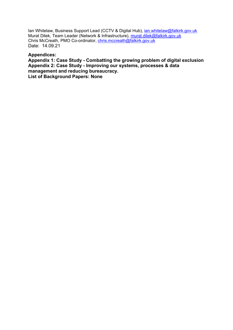Ian Whitelaw, Business Support Lead (CCTV & Digital Hub), *ian.whitelaw@falkirk.gov.uk* Murat Dilek, Team Leader (Network & Infrastructure), [murat.dilek@falkirk.gov.uk](mailto:murat.dilek@falkirk.gov.uk) Chris McCreath, PMO Co-ordinator, [chris.mccreath@falkirk.gov.uk](mailto:chris.mccreath@falkirk.gov.uk) Date: 14.09.21

#### **Appendices:**

**Appendix 1: Case Study - Combatting the growing problem of digital exclusion Appendix 2: Case Study - Improving our systems, processes & data management and reducing bureaucracy. List of Background Papers: None**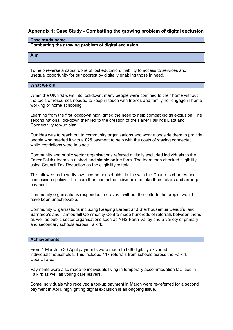## **Appendix 1: Case Study - Combatting the growing problem of digital exclusion**

| <b>Case study name</b>                                                                                                                                                                                                                             |  |  |
|----------------------------------------------------------------------------------------------------------------------------------------------------------------------------------------------------------------------------------------------------|--|--|
| Combatting the growing problem of digital exclusion                                                                                                                                                                                                |  |  |
| Aim                                                                                                                                                                                                                                                |  |  |
|                                                                                                                                                                                                                                                    |  |  |
| To help reverse a catastrophe of lost education, inability to access to services and<br>unequal opportunity for our poorest by digitally enabling those in need.                                                                                   |  |  |
| What we did                                                                                                                                                                                                                                        |  |  |
| When the UK first went into lockdown, many people were confined to their home without<br>the tools or resources needed to keep in touch with friends and family nor engage in home<br>working or home schooling.                                   |  |  |
| Learning from the first lockdown highlighted the need to help combat digital exclusion. The<br>second national lockdown then led to the creation of the Fairer Falkirk's Data and<br>Connectivity top-up plan.                                     |  |  |
| Our idea was to reach out to community organisations and work alongside them to provide<br>people who needed it with a £25 payment to help with the costs of staying connected<br>while restrictions were in place.                                |  |  |
| Community and public sector organisations referred digitally excluded individuals to the<br>Fairer Falkirk team via a short and simple online form. The team then checked eligibility,<br>using Council Tax Reduction as the eligibility criteria. |  |  |

This allowed us to verify low-income households, in line with the Council's charges and concessions policy. The team then contacted individuals to take their details and arrange payment.

Community organisations responded in droves - without their efforts the project would have been unachievable.

Community Organisations including Keeping Larbert and Stenhousemuir Beautiful and Barnardo's and Tamfourhill Community Centre made hundreds of referrals between them, as well as public sector organisations such as NHS Forth-Valley and a variety of primary and secondary schools across Falkirk.

#### **Achievements**

From 1 March to 30 April payments were made to 669 digitally excluded individuals/households. This included 117 referrals from schools across the Falkirk Council area.

Payments were also made to individuals living in temporary accommodation facilities in Falkirk as well as young care leavers.

Some individuals who received a top-up payment in March were re-referred for a second payment in April, highlighting digital exclusion is an ongoing issue.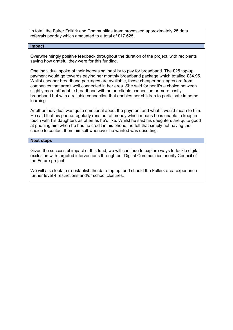In total, the Fairer Falkirk and Communities team processed approximately 25 data referrals per day which amounted to a total of £17,625.

#### **Impact**

Overwhelmingly positive feedback throughout the duration of the project, with recipients saying how grateful they were for this funding.

One individual spoke of their increasing inability to pay for broadband. The £25 top-up payment would go towards paying her monthly broadband package which totalled £34.95. Whilst cheaper broadband packages are available, those cheaper packages are from companies that aren't well connected in her area. She said for her it's a choice between slightly more affordable broadband with an unreliable connection or more costly broadband but with a reliable connection that enables her children to participate in home learning.

Another individual was quite emotional about the payment and what it would mean to him. He said that his phone regularly runs out of money which means he is unable to keep in touch with his daughters as often as he'd like. Whilst he said his daughters are quite good at phoning him when he has no credit in his phone, he felt that simply not having the choice to contact them himself whenever he wanted was upsetting.

#### **Next steps**

Given the successful impact of this fund, we will continue to explore ways to tackle digital exclusion with targeted interventions through our Digital Communities priority Council of the Future project.

We will also look to re-establish the data top up fund should the Falkirk area experience further level 4 restrictions and/or school closures.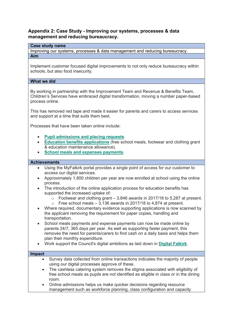### **Appendix 2: Case Study - Improving our systems, processes & data management and reducing bureaucracy.**

#### **Case study name**

Improving our systems, processes & data management and reducing bureaucracy.

#### **Aim**

Implement customer focused digital improvements to not only reduce bureaucracy within schools, but also food insecurity.

#### **What we did**

By working in partnership with the Improvement Team and Revenue & Benefits Team, Children's Services have embraced digital transformation, moving a number paper-based process online.

This has removed red tape and made it easier for parents and carers to access services and support at a time that suits them best.

Processes that have been taken online include:

- **[Pupil admissions and placing requests](https://www.falkirk.gov.uk/services/schools-education/school-admissions/)**.
- **[Education benefits applications](https://www.falkirk.gov.uk/services/schools-education/education-benefits-support/)** (free school meals, footwear and clothing grant & education maintenance allowance).
- **[School meals and expenses payments](https://www.falkirk.gov.uk/do-it-today/pay/schools/)**.

#### **Achievements**

- Using the MyFalkirk portal provides a single point of access for our customer to access our digital services.
- Approximately 1,800 children per year are now enrolled at school using the online process.
- The introduction of the online application process for education benefits has supported the increased uptake of:
	- o Footwear and clothing grant 3,846 awards in 2017/18 to 5,287 at present.
	- $\circ$  Free school meals 3,136 awards in 2017/18 to 4,874 at present.
- Where required, documentary evidence supporting applications is now scanned by the applicant removing the requirement for paper copies, handling and transportation.
- School meals payments and expense payments can now be made online by parents 24/7, 365 days per year. As well as supporting faster payment, this removes the need for parents/carers to find cash on a daily basis and helps them plan their monthly expenditure.
- Work support the Council's digital ambitions as laid down in **[Digital Falkirk](https://www.falkirk.gov.uk/services/council-democracy/policies-strategies/digital-falkirk.aspx#digitallearningandteaching)**.

#### **Impact**

- Survey data collected from online transactions indicates the majority of people using our digital processes approve of these.
	- The cashless catering system removes the stigma associated with eligibility of free school meals as pupils are not identified as eligible in class or in the dining room.
	- Online admissions helps us make quicker decisions regarding resource management such as workforce planning, class configuration and capacity